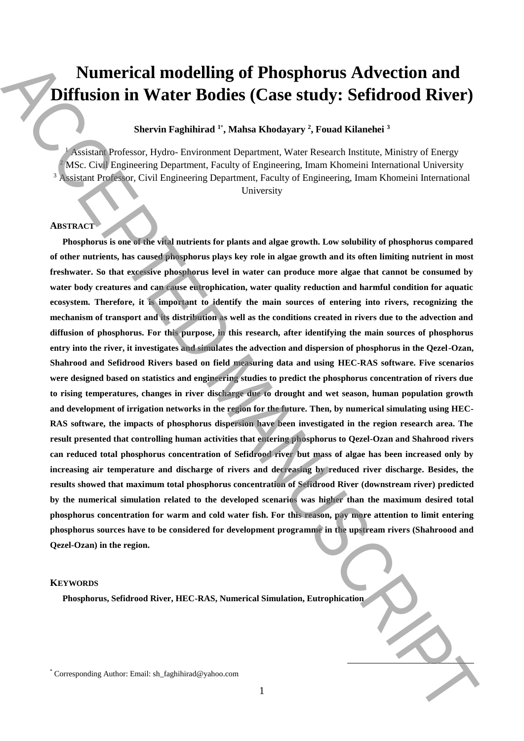# **Numerical modelling of Phosphorus Advection and Diffusion in Water Bodies (Case study: Sefidrood River)**

## **Shervin Faghihirad <sup>1</sup>**\* **, Mahsa Khodayary <sup>2</sup> , Fouad Kilanehei <sup>3</sup>**

<sup>1</sup> Assistant Professor, Hydro- Environment Department, Water Research Institute, Ministry of Energy <sup>2</sup> MSc. Civil Engineering Department, Faculty of Engineering, Imam Khomeini International University <sup>3</sup> Assistant Professor, Civil Engineering Department, Faculty of Engineering, Imam Khomeini International University

# **ABSTRACT**

**Phosphorus is one of the vital nutrients for plants and algae growth. Low solubility of phosphorus compared of other nutrients, has caused phosphorus plays key role in algae growth and its often limiting nutrient in most freshwater. So that excessive phosphorus level in water can produce more algae that cannot be consumed by water body creatures and can cause eutrophication, water quality reduction and harmful condition for aquatic ecosystem. Therefore, it is important to identify the main sources of entering into rivers, recognizing the mechanism of transport and its distribution as well as the conditions created in rivers due to the advection and diffusion of phosphorus. For this purpose, in this research, after identifying the main sources of phosphorus entry into the river, it investigates and simulates the advection and dispersion of phosphorus in the Qezel-Ozan, Shahrood and Sefidrood Rivers based on field measuring data and using HEC-RAS software. Five scenarios were designed based on statistics and engineering studies to predict the phosphorus concentration of rivers due to rising temperatures, changes in river discharge due to drought and wet season, human population growth and development of irrigation networks in the region for the future. Then, by numerical simulating using HEC-RAS software, the impacts of phosphorus dispersion have been investigated in the region research area. The result presented that controlling human activities that entering phosphorus to Qezel-Ozan and Shahrood rivers can reduced total phosphorus concentration of Sefidrood river but mass of algae has been increased only by increasing air temperature and discharge of rivers and decreasing by reduced river discharge. Besides, the results showed that maximum total phosphorus concentration of Sefidrood River (downstream river) predicted by the numerical simulation related to the developed scenarios was higher than the maximum desired total phosphorus concentration for warm and cold water fish. For this reason, pay more attention to limit entering phosphorus sources have to be considered for development programme in the upstream rivers (Shahroood and Qezel-Ozan) in the region. Numerical modelling of Phosphorus Advection and**<br>
Diffusion in Watter Bodies (Case study: Sefidrood River)<br>
Second here is planned in Alberta Corresponding Corresponding the company of the company of the company of the c

#### **KEYWORDS**

**Phosphorus, Sefidrood River, HEC-RAS, Numerical Simulation, Eutrophication**

 $\overline{a}$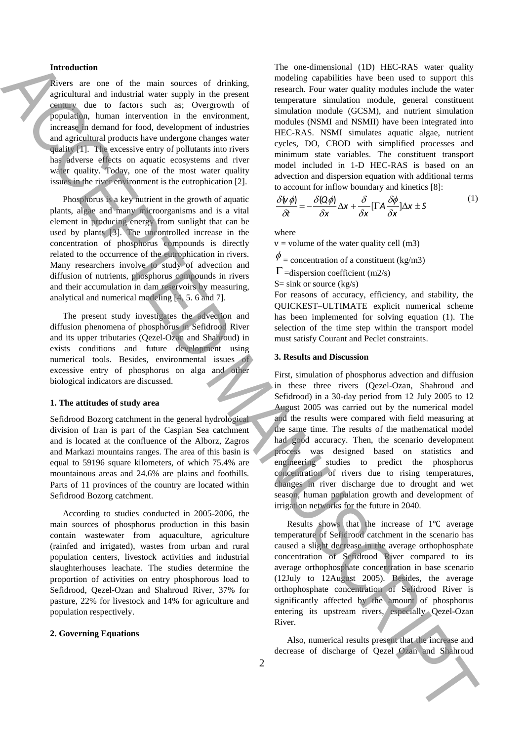#### **Introduction**

Rivers are one of the main sources of drinking, agricultural and industrial water supply in the present century due to factors such as; Overgrowth of population, human intervention in the environment, increase in demand for food, development of industries and agricultural products have undergone changes water quality [1]. The excessive entry of pollutants into rivers has adverse effects on aquatic ecosystems and river water quality. Today, one of the most water quality issues in the river environment is the eutrophication [2].

Phosphorus is a key nutrient in the growth of aquatic plants, algae and many microorganisms and is a vital element in producing energy from sunlight that can be used by plants [3]. The uncontrolled increase in the concentration of phosphorus compounds is directly related to the occurrence of the eutrophication in rivers. Many researchers involve to study of advection and diffusion of nutrients, phosphorus compounds in rivers and their accumulation in dam reservoirs by measuring, analytical and numerical modeling [4, 5. 6 and 7].

The present study investigates the advection and diffusion phenomena of phosphorus in Sefidrood River and its upper tributaries (Qezel-Ozan and Shahroud) in exists conditions and future development using numerical tools. Besides, environmental issues of excessive entry of phosphorus on alga and other biological indicators are discussed.

#### **1. The attitudes of study area**

Sefidrood Bozorg catchment in the general hydrological division of Iran is part of the Caspian Sea catchment and is located at the confluence of the Alborz, Zagros and Markazi mountains ranges. The area of this basin is equal to 59196 square kilometers, of which 75.4% are mountainous areas and 24.6% are plains and foothills. Parts of 11 provinces of the country are located within Sefidrood Bozorg catchment.

According to studies conducted in 2005-2006, the main sources of phosphorus production in this basin contain wastewater from aquaculture, agriculture (rainfed and irrigated), wastes from urban and rural population centers, livestock activities and industrial slaughterhouses leachate. The studies determine the proportion of activities on entry phosphorous load to Sefidrood, Qezel-Ozan and Shahroud River, 37% for pasture, 22% for livestock and 14% for agriculture and population respectively.

#### **2. Governing Equations**

The one-dimensional (1D) HEC-RAS water quality modeling capabilities have been used to support this research. Four water quality modules include the water temperature simulation module, general constituent simulation module (GCSM), and nutrient simulation modules (NSMI and NSMII) have been integrated into HEC-RAS. NSMI simulates aquatic algae, nutrient cycles, DO, CBOD with simplified processes and minimum state variables. The constituent transport model included in 1-D HEC-RAS is based on an advection and dispersion equation with additional terms to account for inflow boundary and kinetics [8]:

$$
\frac{\delta(\phi)}{\delta t} = -\frac{\delta(Q\phi)}{\delta x} \Delta x + \frac{\delta}{\delta x} [\Gamma A \frac{\delta \phi}{\delta x}] \Delta x \pm S \tag{1}
$$

where

 $v =$  volume of the water quality cell (m3)

 $\phi$  = concentration of a constituent (kg/m3)

 $\Gamma$  =dispersion coefficient (m2/s)

 $S=$  sink or source (kg/s)

For reasons of accuracy, efficiency, and stability, the QUICKEST–ULTIMATE explicit numerical scheme has been implemented for solving equation (1). The selection of the time step within the transport model must satisfy Courant and Peclet constraints.

#### **3. Results and Discussion**

First, simulation of phosphorus advection and diffusion in these three rivers (Qezel-Ozan, Shahroud and Sefidrood) in a 30-day period from 12 July 2005 to 12 August 2005 was carried out by the numerical model and the results were compared with field measuring at the same time. The results of the mathematical model had good accuracy. Then, the scenario development process was designed based on statistics and engineering studies to predict the phosphorus concentration of rivers due to rising temperatures, changes in river discharge due to drought and wet season, human population growth and development of irrigation networks for the future in 2040. Moreover the main context of discharge interest in the main context of discharge of the main context of discharge of the main context of discharge of the main context of discharge of the main context of the main context o

Results shows that the increase of 1℃ average temperature of Sefidrood catchment in the scenario has caused a slight decrease in the average orthophosphate concentration of Sefidrood River compared to its average orthophosphate concentration in base scenario (12July to 12August 2005). Besides, the average orthophosphate concentration of Sefidrood River is significantly affected by the amount of phosphorus entering its upstream rivers, especially Qezel-Ozan River.

Also, numerical results present that the increase and